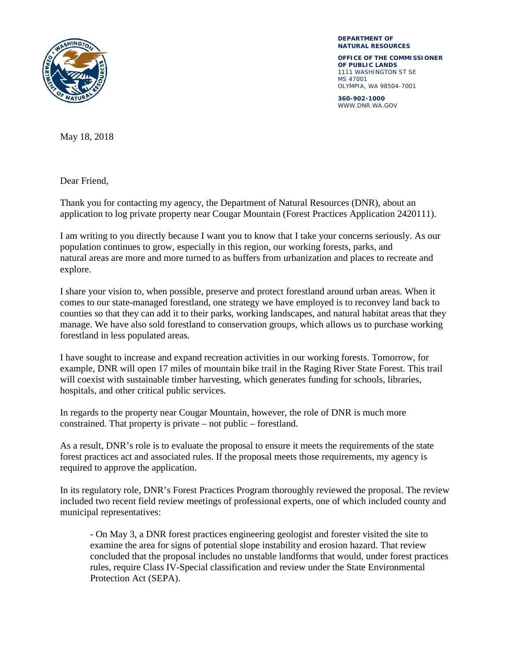

**DEPARTMENT OF NATURAL RESOURCES**

**OFFICE OF THE COMMISSIONER OF PUBLIC LANDS** 1111 WASHINGTON ST SE MS 47001 OLYMPIA, WA 98504-7001

**360-902-1000** WWW.DNR.WA.GOV

May 18, 2018

Dear Friend,

Thank you for contacting my agency, the Department of Natural Resources (DNR), about an application to log private property near Cougar Mountain (Forest Practices Application 2420111).

I am writing to you directly because I want you to know that I take your concerns seriously. As our population continues to grow, especially in this region, our working forests, parks, and natural areas are more and more turned to as buffers from urbanization and places to recreate and explore.

I share your vision to, when possible, preserve and protect forestland around urban areas. When it comes to our state-managed forestland, one strategy we have employed is to reconvey land back to counties so that they can add it to their parks, working landscapes, and natural habitat areas that they manage. We have also sold forestland to conservation groups, which allows us to purchase working forestland in less populated areas.

I have sought to increase and expand recreation activities in our working forests. Tomorrow, for example, DNR will open 17 miles of mountain bike trail in the Raging River State Forest. This trail will coexist with sustainable timber harvesting, which generates funding for schools, libraries, hospitals, and other critical public services.

In regards to the property near Cougar Mountain, however, the role of DNR is much more constrained. That property is private – not public – forestland.

As a result, DNR's role is to evaluate the proposal to ensure it meets the requirements of the state forest practices act and associated rules. If the proposal meets those requirements, my agency is required to approve the application.

In its regulatory role, DNR's Forest Practices Program thoroughly reviewed the proposal. The review included two recent field review meetings of professional experts, one of which included county and municipal representatives:

- On May 3, a DNR forest practices engineering geologist and forester visited the site to examine the area for signs of potential slope instability and erosion hazard. That review concluded that the proposal includes no unstable landforms that would, under forest practices rules, require Class IV-Special classification and review under the State Environmental Protection Act (SEPA).